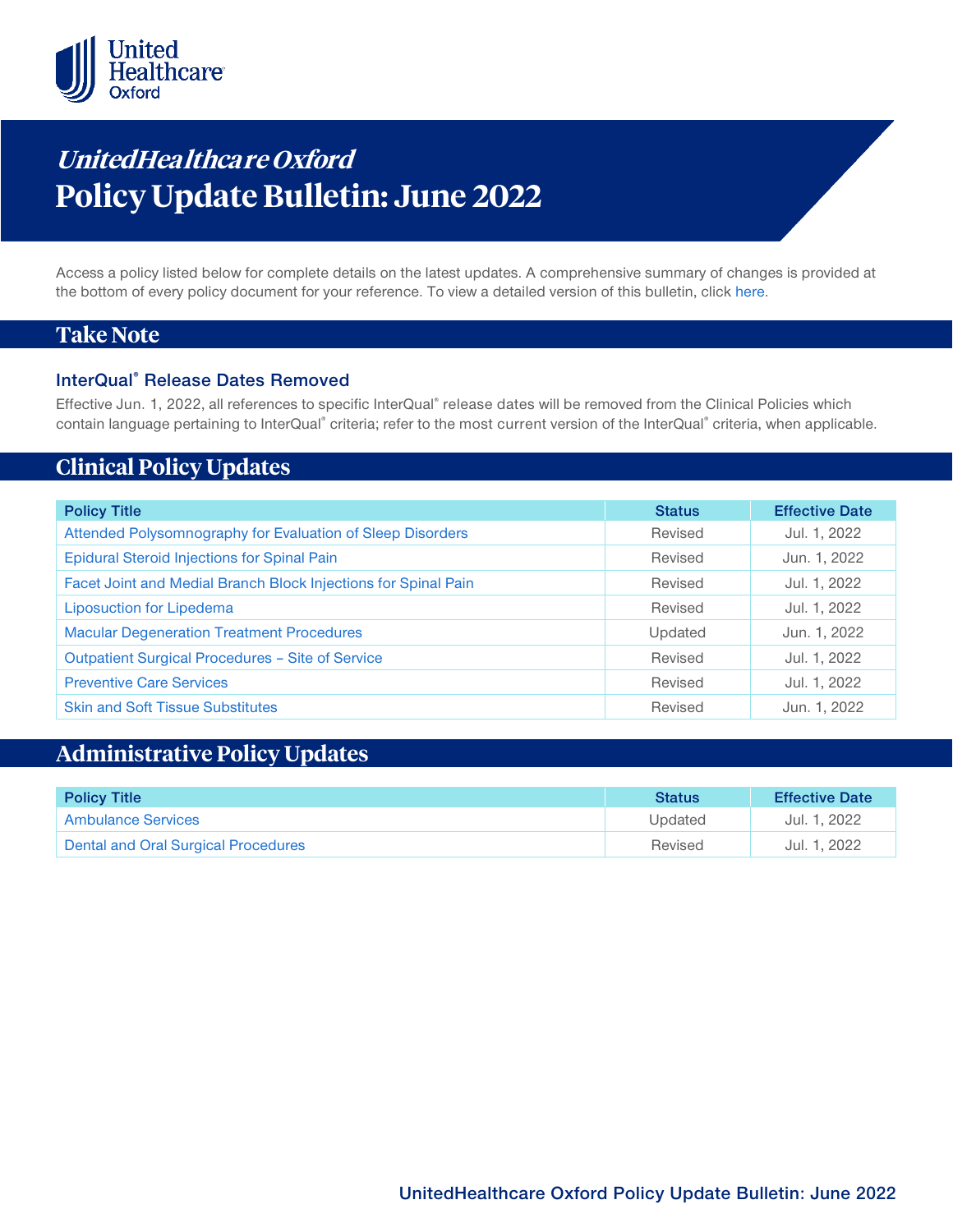

# **UnitedHealthca re Oxford Policy Update Bulletin: June 2022**

Access a policy listed below for complete details on the latest updates. A comprehensive summary of changes is provided at the bottom of every policy document for your reference. To view a detailed version of this bulletin, clic[k here.](https://www.uhcprovider.com/content/dam/provider/docs/public/policies/mpub-archives/oxford/oxford-policy-update-bulletin-june-2022-full.pdf)

## **Take Note**

### **InterQual® Release Dates Removed**

Effective Jun. 1, 2022, all references to specific InterQual® release dates will be removed from the Clinical Policies which contain language pertaining to InterQual® criteria; refer to the most current version of the InterQual® criteria, when applicable.

# **Clinical Policy Updates**

| <b>Policy Title</b>                                            | <b>Status</b> | <b>Effective Date</b> |
|----------------------------------------------------------------|---------------|-----------------------|
|                                                                |               |                       |
| Attended Polysomnography for Evaluation of Sleep Disorders     | Revised       | Jul. 1, 2022          |
| <b>Epidural Steroid Injections for Spinal Pain</b>             | Revised       | Jun. 1, 2022          |
| Facet Joint and Medial Branch Block Injections for Spinal Pain | Revised       | Jul. 1, 2022          |
| <b>Liposuction for Lipedema</b>                                | Revised       | Jul. 1, 2022          |
| <b>Macular Degeneration Treatment Procedures</b>               | Updated       | Jun. 1, 2022          |
| Outpatient Surgical Procedures - Site of Service               | Revised       | Jul. 1, 2022          |
| <b>Preventive Care Services</b>                                | Revised       | Jul. 1, 2022          |
| <b>Skin and Soft Tissue Substitutes</b>                        | Revised       | Jun. 1, 2022          |

# **Administrative Policy Updates**

| <b>Policy Title</b>                 | <b>Status</b> | <b>Effective Date</b> |
|-------------------------------------|---------------|-----------------------|
| Ambulance Services                  | Updated       | Jul. 1, 2022          |
| Dental and Oral Surgical Procedures | Revised       | Jul. 1, 2022          |